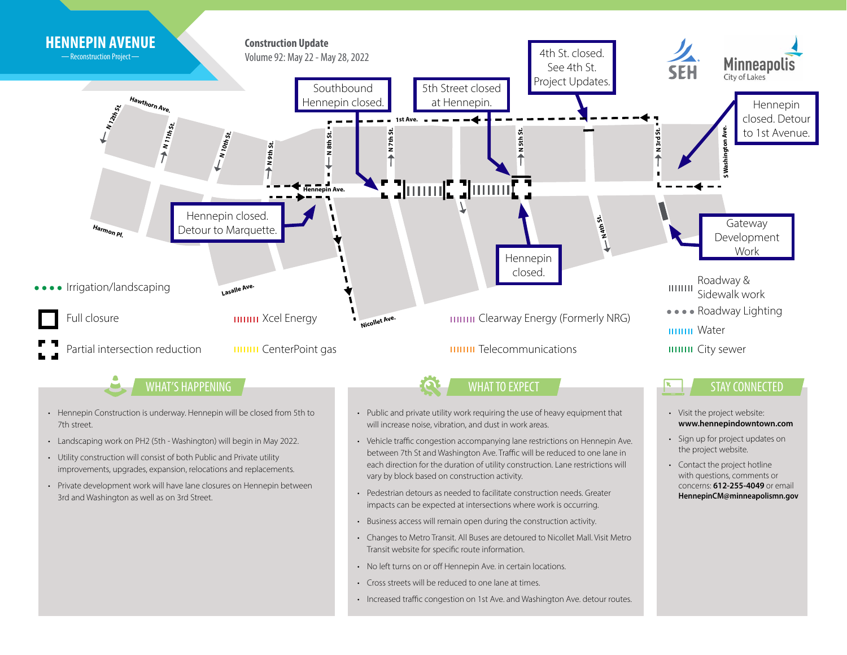

- Utility construction will consist of both Public and Private utility improvements, upgrades, expansion, relocations and replacements.
- Private development work will have lane closures on Hennepin between 3rd and Washington as well as on 3rd Street.
- between 7th St and Washington Ave. Traffic will be reduced to one lane in each direction for the duration of utility construction. Lane restrictions will vary by block based on construction activity.

• Contact the project hotline with questions, comments or concerns: **612-255-4049** or email **HennepinCM@minneapolismn.gov**

- Pedestrian detours as needed to facilitate construction needs. Greater impacts can be expected at intersections where work is occurring.
- Business access will remain open during the construction activity.
- Changes to Metro Transit. All Buses are detoured to Nicollet Mall. Visit Metro Transit website for specific route information.
- No left turns on or off Hennepin Ave. in certain locations.
- Cross streets will be reduced to one lane at times.
- Increased traffic congestion on 1st Ave. and Washington Ave. detour routes.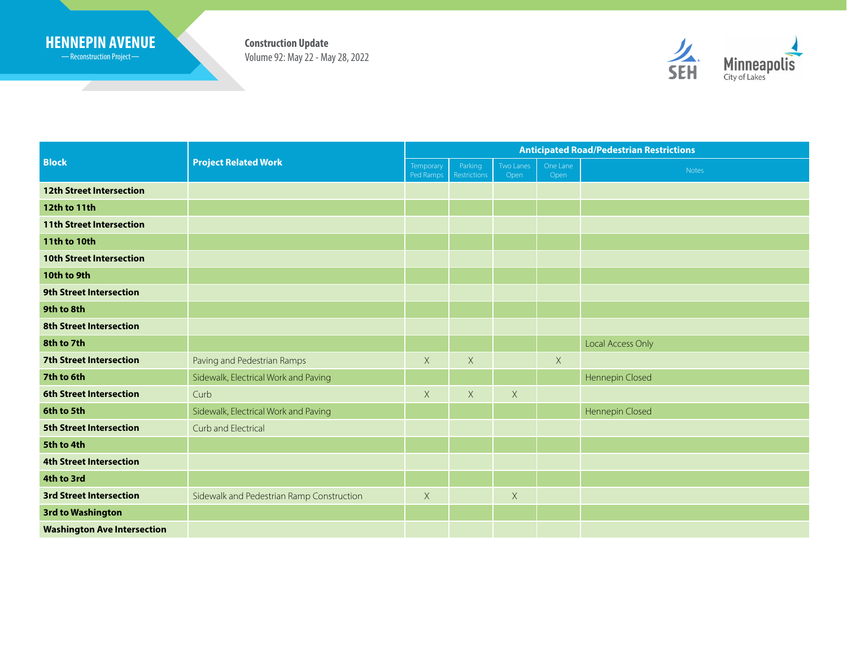## **HENNEPIN AVENUE Construction Update**

Reconstruction Project

<u> Samuel Started Barbon (Started Barbon)</u>

Volume 92: May 22 - May 28, 2022



| <b>Block</b>                       | <b>Project Related Work</b>               | <b>Anticipated Road/Pedestrian Restrictions</b> |                         |                   |                  |                   |
|------------------------------------|-------------------------------------------|-------------------------------------------------|-------------------------|-------------------|------------------|-------------------|
|                                    |                                           | Temporary<br>Ped Ramps                          | Parking<br>Restrictions | Two Lanes<br>Open | One Lane<br>Open | Notes             |
| <b>12th Street Intersection</b>    |                                           |                                                 |                         |                   |                  |                   |
| 12th to 11th                       |                                           |                                                 |                         |                   |                  |                   |
| <b>11th Street Intersection</b>    |                                           |                                                 |                         |                   |                  |                   |
| 11th to 10th                       |                                           |                                                 |                         |                   |                  |                   |
| <b>10th Street Intersection</b>    |                                           |                                                 |                         |                   |                  |                   |
| 10th to 9th                        |                                           |                                                 |                         |                   |                  |                   |
| <b>9th Street Intersection</b>     |                                           |                                                 |                         |                   |                  |                   |
| 9th to 8th                         |                                           |                                                 |                         |                   |                  |                   |
| <b>8th Street Intersection</b>     |                                           |                                                 |                         |                   |                  |                   |
| 8th to 7th                         |                                           |                                                 |                         |                   |                  | Local Access Only |
| <b>7th Street Intersection</b>     | Paving and Pedestrian Ramps               | $\mathsf X$                                     | $\mathsf X$             |                   | X                |                   |
| 7th to 6th                         | Sidewalk, Electrical Work and Paving      |                                                 |                         |                   |                  | Hennepin Closed   |
| <b>6th Street Intersection</b>     | Curb                                      | $\mathsf X$                                     | X                       | $\times$          |                  |                   |
| 6th to 5th                         | Sidewalk, Electrical Work and Paving      |                                                 |                         |                   |                  | Hennepin Closed   |
| <b>5th Street Intersection</b>     | Curb and Electrical                       |                                                 |                         |                   |                  |                   |
| 5th to 4th                         |                                           |                                                 |                         |                   |                  |                   |
| <b>4th Street Intersection</b>     |                                           |                                                 |                         |                   |                  |                   |
| 4th to 3rd                         |                                           |                                                 |                         |                   |                  |                   |
| <b>3rd Street Intersection</b>     | Sidewalk and Pedestrian Ramp Construction | $\mathsf{X}$                                    |                         | $\mathsf X$       |                  |                   |
| 3rd to Washington                  |                                           |                                                 |                         |                   |                  |                   |
| <b>Washington Ave Intersection</b> |                                           |                                                 |                         |                   |                  |                   |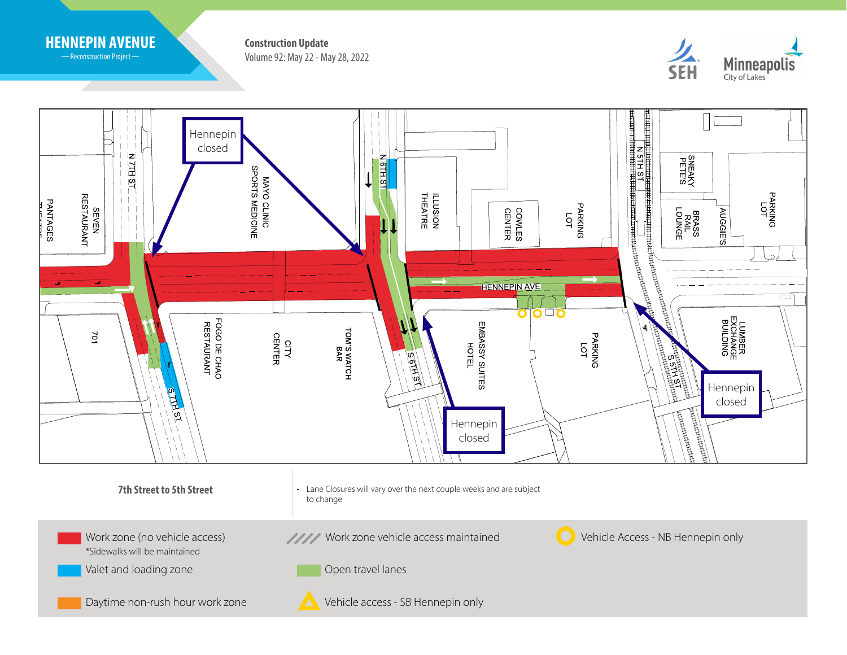

-Reconstruction Project-

Volume 92: May 22 - May 28, 2022